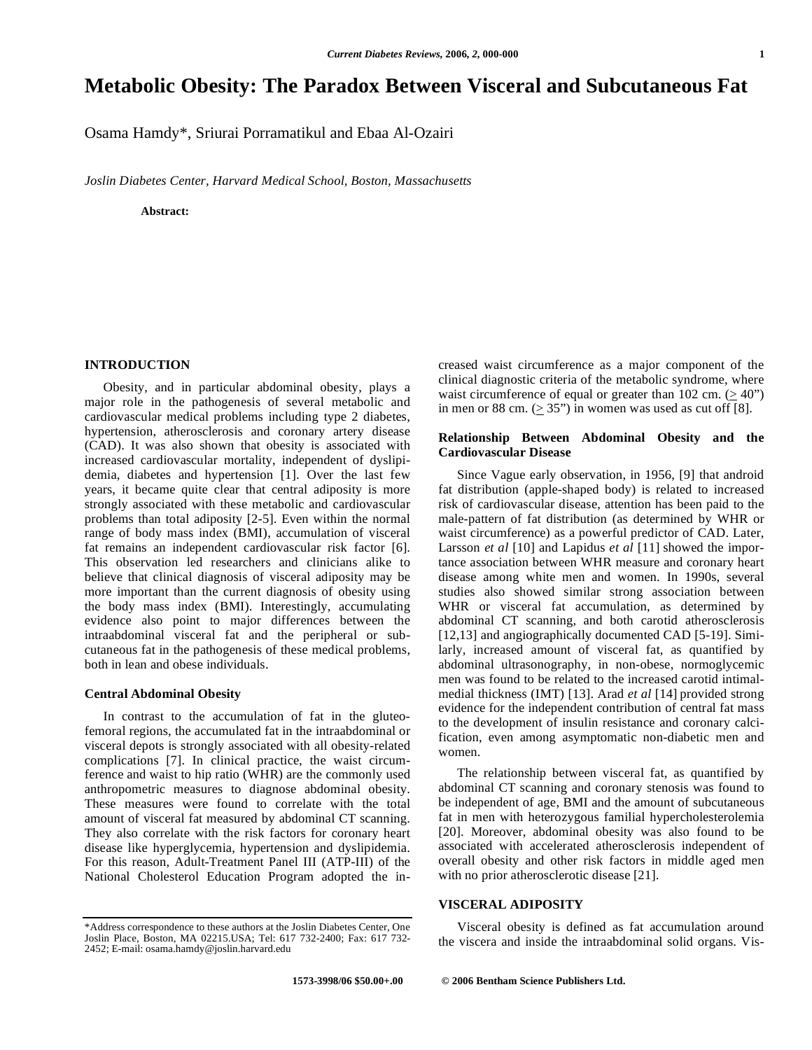# **Metabolic Obesity: The Paradox Between Visceral and Subcutaneous Fat**

Osama Hamdy\*, Sriurai Porramatikul and Ebaa Al-Ozairi

*Joslin Diabetes Center, Harvard Medical School, Boston, Massachusetts* 

**Abstract:** 

# **INTRODUCTION**

Obesity, and in particular abdominal obesity, plays a major role in the pathogenesis of several metabolic and cardiovascular medical problems including type 2 diabetes, hypertension, atherosclerosis and coronary artery disease (CAD). It was also shown that obesity is associated with increased cardiovascular mortality, independent of dyslipidemia, diabetes and hypertension [1]. Over the last few years, it became quite clear that central adiposity is more strongly associated with these metabolic and cardiovascular problems than total adiposity [2-5]. Even within the normal range of body mass index (BMI), accumulation of visceral fat remains an independent cardiovascular risk factor [6]. This observation led researchers and clinicians alike to believe that clinical diagnosis of visceral adiposity may be more important than the current diagnosis of obesity using the body mass index (BMI). Interestingly, accumulating evidence also point to major differences between the intraabdominal visceral fat and the peripheral or subcutaneous fat in the pathogenesis of these medical problems, both in lean and obese individuals.

#### **Central Abdominal Obesity**

In contrast to the accumulation of fat in the gluteofemoral regions, the accumulated fat in the intraabdominal or visceral depots is strongly associated with all obesity-related complications [7]. In clinical practice, the waist circumference and waist to hip ratio (WHR) are the commonly used anthropometric measures to diagnose abdominal obesity. These measures were found to correlate with the total amount of visceral fat measured by abdominal CT scanning. They also correlate with the risk factors for coronary heart disease like hyperglycemia, hypertension and dyslipidemia. For this reason, Adult-Treatment Panel III (ATP-III) of the National Cholesterol Education Program adopted the increased waist circumference as a major component of the clinical diagnostic criteria of the metabolic syndrome, where waist circumference of equal or greater than 102 cm.  $(> 40")$ in men or 88 cm. ( $\geq$  35") in women was used as cut off [8].

# **Relationship Between Abdominal Obesity and the Cardiovascular Disease**

Since Vague early observation, in 1956, [9] that android fat distribution (apple-shaped body) is related to increased risk of cardiovascular disease, attention has been paid to the male-pattern of fat distribution (as determined by WHR or waist circumference) as a powerful predictor of CAD. Later, Larsson *et al* [10] and Lapidus *et al* [11] showed the importance association between WHR measure and coronary heart disease among white men and women. In 1990s, several studies also showed similar strong association between WHR or visceral fat accumulation, as determined by abdominal CT scanning, and both carotid atherosclerosis [12,13] and angiographically documented CAD [5-19]. Similarly, increased amount of visceral fat, as quantified by abdominal ultrasonography, in non-obese, normoglycemic men was found to be related to the increased carotid intimalmedial thickness (IMT) [13]. Arad *et al* [14] provided strong evidence for the independent contribution of central fat mass to the development of insulin resistance and coronary calcification, even among asymptomatic non-diabetic men and women.

The relationship between visceral fat, as quantified by abdominal CT scanning and coronary stenosis was found to be independent of age, BMI and the amount of subcutaneous fat in men with heterozygous familial hypercholesterolemia [20]. Moreover, abdominal obesity was also found to be associated with accelerated atherosclerosis independent of overall obesity and other risk factors in middle aged men with no prior atherosclerotic disease [21].

# **VISCERAL ADIPOSITY**

Visceral obesity is defined as fat accumulation around the viscera and inside the intraabdominal solid organs. Vis-

 **1573-3998/06 \$50.00+.00 © 2006 Bentham Science Publishers Ltd.**

<sup>\*</sup>Address correspondence to these authors at the Joslin Diabetes Center, One Joslin Place, Boston, MA 02215.USA; Tel: 617 732-2400; Fax: 617 732- 2452; E-mail: osama.hamdy@joslin.harvard.edu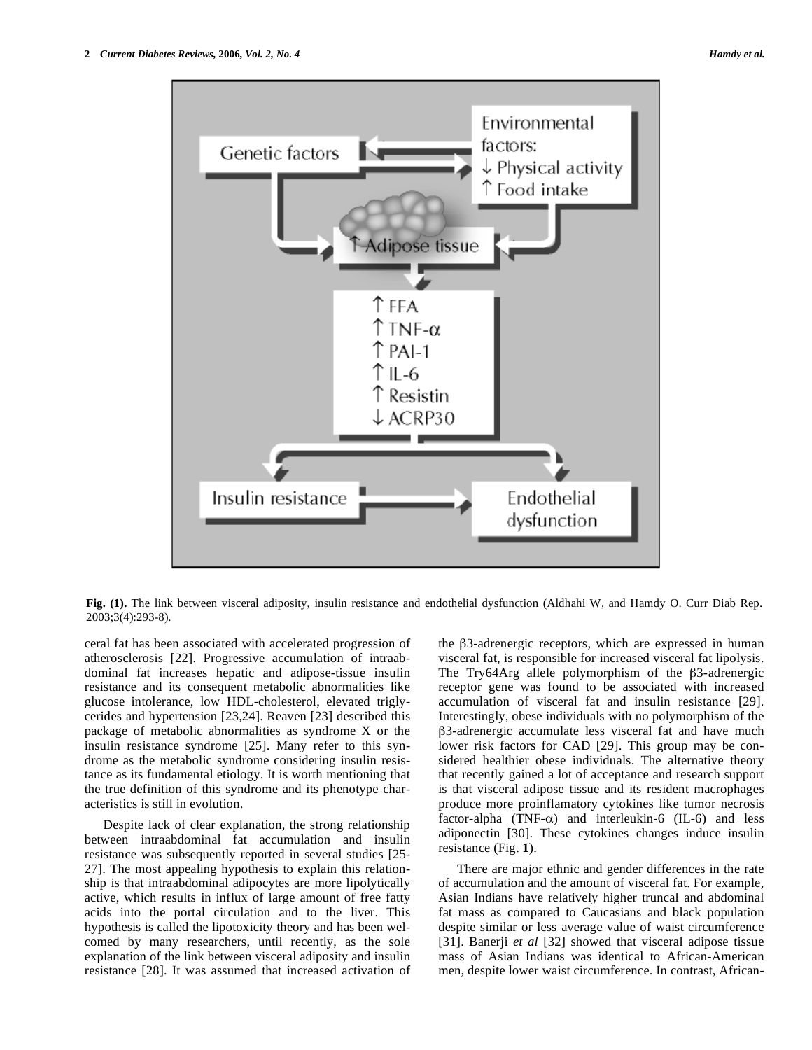

**Fig. (1).** The link between visceral adiposity, insulin resistance and endothelial dysfunction (Aldhahi W, and Hamdy O. Curr Diab Rep. 2003;3(4):293-8).

ceral fat has been associated with accelerated progression of atherosclerosis [22]. Progressive accumulation of intraabdominal fat increases hepatic and adipose-tissue insulin resistance and its consequent metabolic abnormalities like glucose intolerance, low HDL-cholesterol, elevated triglycerides and hypertension [23,24]. Reaven [23] described this package of metabolic abnormalities as syndrome X or the insulin resistance syndrome [25]. Many refer to this syndrome as the metabolic syndrome considering insulin resistance as its fundamental etiology. It is worth mentioning that the true definition of this syndrome and its phenotype characteristics is still in evolution.

Despite lack of clear explanation, the strong relationship between intraabdominal fat accumulation and insulin resistance was subsequently reported in several studies [25- 27]. The most appealing hypothesis to explain this relationship is that intraabdominal adipocytes are more lipolytically active, which results in influx of large amount of free fatty acids into the portal circulation and to the liver. This hypothesis is called the lipotoxicity theory and has been welcomed by many researchers, until recently, as the sole explanation of the link between visceral adiposity and insulin resistance [28]. It was assumed that increased activation of

the  $\beta$ 3-adrenergic receptors, which are expressed in human visceral fat, is responsible for increased visceral fat lipolysis. The Try64Arg allele polymorphism of the  $\beta$ 3-adrenergic receptor gene was found to be associated with increased accumulation of visceral fat and insulin resistance [29]. Interestingly, obese individuals with no polymorphism of the -3-adrenergic accumulate less visceral fat and have much lower risk factors for CAD [29]. This group may be considered healthier obese individuals. The alternative theory that recently gained a lot of acceptance and research support is that visceral adipose tissue and its resident macrophages produce more proinflamatory cytokines like tumor necrosis factor-alpha (TNF- $\alpha$ ) and interleukin-6 (IL-6) and less adiponectin [30]. These cytokines changes induce insulin resistance (Fig. **1**).

There are major ethnic and gender differences in the rate of accumulation and the amount of visceral fat. For example, Asian Indians have relatively higher truncal and abdominal fat mass as compared to Caucasians and black population despite similar or less average value of waist circumference [31]. Banerji *et al* [32] showed that visceral adipose tissue mass of Asian Indians was identical to African-American men, despite lower waist circumference. In contrast, African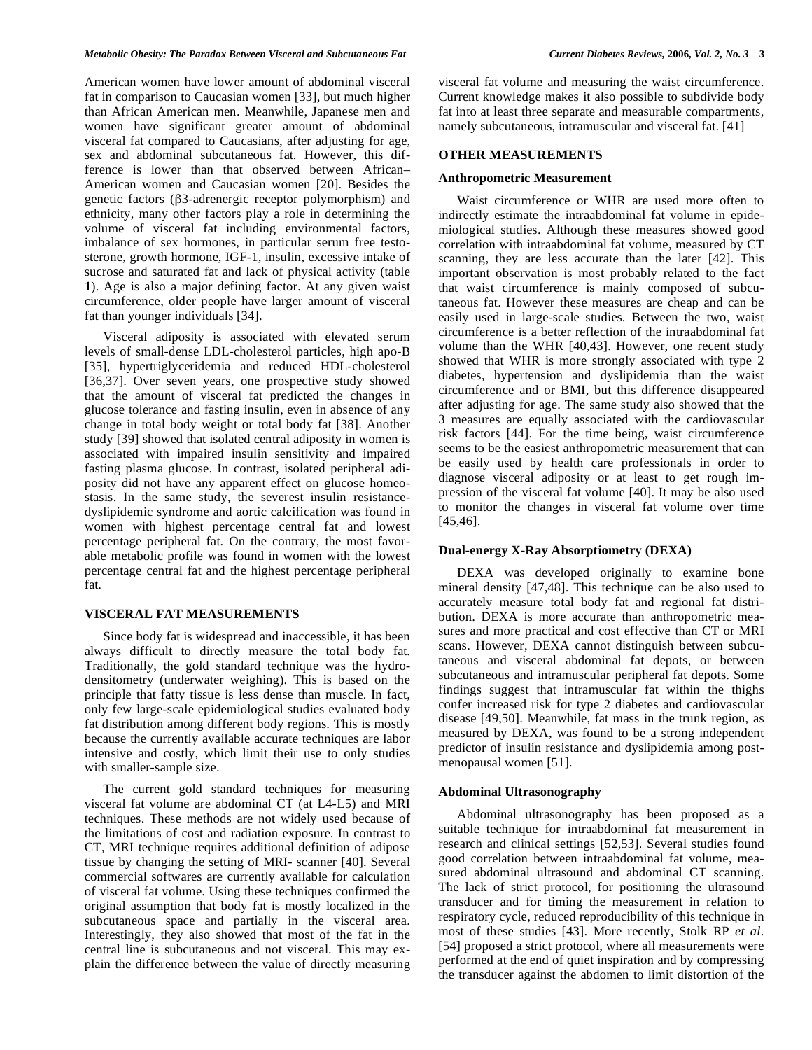American women have lower amount of abdominal visceral fat in comparison to Caucasian women [33], but much higher than African American men. Meanwhile, Japanese men and women have significant greater amount of abdominal visceral fat compared to Caucasians, after adjusting for age, sex and abdominal subcutaneous fat. However, this difference is lower than that observed between African– American women and Caucasian women [20]. Besides the genetic factors (3-adrenergic receptor polymorphism) and ethnicity, many other factors play a role in determining the volume of visceral fat including environmental factors, imbalance of sex hormones, in particular serum free testosterone, growth hormone, IGF-1, insulin, excessive intake of sucrose and saturated fat and lack of physical activity (table **1**). Age is also a major defining factor. At any given waist circumference, older people have larger amount of visceral fat than younger individuals [34].

Visceral adiposity is associated with elevated serum levels of small-dense LDL-cholesterol particles, high apo-B [35], hypertriglyceridemia and reduced HDL-cholesterol [36,37]. Over seven years, one prospective study showed that the amount of visceral fat predicted the changes in glucose tolerance and fasting insulin, even in absence of any change in total body weight or total body fat [38]. Another study [39] showed that isolated central adiposity in women is associated with impaired insulin sensitivity and impaired fasting plasma glucose. In contrast, isolated peripheral adiposity did not have any apparent effect on glucose homeostasis. In the same study, the severest insulin resistancedyslipidemic syndrome and aortic calcification was found in women with highest percentage central fat and lowest percentage peripheral fat. On the contrary, the most favorable metabolic profile was found in women with the lowest percentage central fat and the highest percentage peripheral fat.

# **VISCERAL FAT MEASUREMENTS**

Since body fat is widespread and inaccessible, it has been always difficult to directly measure the total body fat. Traditionally, the gold standard technique was the hydrodensitometry (underwater weighing). This is based on the principle that fatty tissue is less dense than muscle. In fact, only few large-scale epidemiological studies evaluated body fat distribution among different body regions. This is mostly because the currently available accurate techniques are labor intensive and costly, which limit their use to only studies with smaller-sample size.

The current gold standard techniques for measuring visceral fat volume are abdominal CT (at L4-L5) and MRI techniques. These methods are not widely used because of the limitations of cost and radiation exposure. In contrast to CT, MRI technique requires additional definition of adipose tissue by changing the setting of MRI- scanner [40]. Several commercial softwares are currently available for calculation of visceral fat volume. Using these techniques confirmed the original assumption that body fat is mostly localized in the subcutaneous space and partially in the visceral area. Interestingly, they also showed that most of the fat in the central line is subcutaneous and not visceral. This may explain the difference between the value of directly measuring

visceral fat volume and measuring the waist circumference. Current knowledge makes it also possible to subdivide body fat into at least three separate and measurable compartments, namely subcutaneous, intramuscular and visceral fat. [41]

#### **OTHER MEASUREMENTS**

#### **Anthropometric Measurement**

Waist circumference or WHR are used more often to indirectly estimate the intraabdominal fat volume in epidemiological studies. Although these measures showed good correlation with intraabdominal fat volume, measured by CT scanning, they are less accurate than the later [42]. This important observation is most probably related to the fact that waist circumference is mainly composed of subcutaneous fat. However these measures are cheap and can be easily used in large-scale studies. Between the two, waist circumference is a better reflection of the intraabdominal fat volume than the WHR [40,43]. However, one recent study showed that WHR is more strongly associated with type 2 diabetes, hypertension and dyslipidemia than the waist circumference and or BMI, but this difference disappeared after adjusting for age. The same study also showed that the 3 measures are equally associated with the cardiovascular risk factors [44]. For the time being, waist circumference seems to be the easiest anthropometric measurement that can be easily used by health care professionals in order to diagnose visceral adiposity or at least to get rough impression of the visceral fat volume [40]. It may be also used to monitor the changes in visceral fat volume over time [45,46].

#### **Dual-energy X-Ray Absorptiometry (DEXA)**

DEXA was developed originally to examine bone mineral density [47,48]. This technique can be also used to accurately measure total body fat and regional fat distribution. DEXA is more accurate than anthropometric measures and more practical and cost effective than CT or MRI scans. However, DEXA cannot distinguish between subcutaneous and visceral abdominal fat depots, or between subcutaneous and intramuscular peripheral fat depots. Some findings suggest that intramuscular fat within the thighs confer increased risk for type 2 diabetes and cardiovascular disease [49,50]. Meanwhile, fat mass in the trunk region, as measured by DEXA, was found to be a strong independent predictor of insulin resistance and dyslipidemia among postmenopausal women [51].

## **Abdominal Ultrasonography**

Abdominal ultrasonography has been proposed as a suitable technique for intraabdominal fat measurement in research and clinical settings [52,53]. Several studies found good correlation between intraabdominal fat volume, measured abdominal ultrasound and abdominal CT scanning. The lack of strict protocol, for positioning the ultrasound transducer and for timing the measurement in relation to respiratory cycle, reduced reproducibility of this technique in most of these studies [43]. More recently, Stolk RP *et al*. [54] proposed a strict protocol, where all measurements were performed at the end of quiet inspiration and by compressing the transducer against the abdomen to limit distortion of the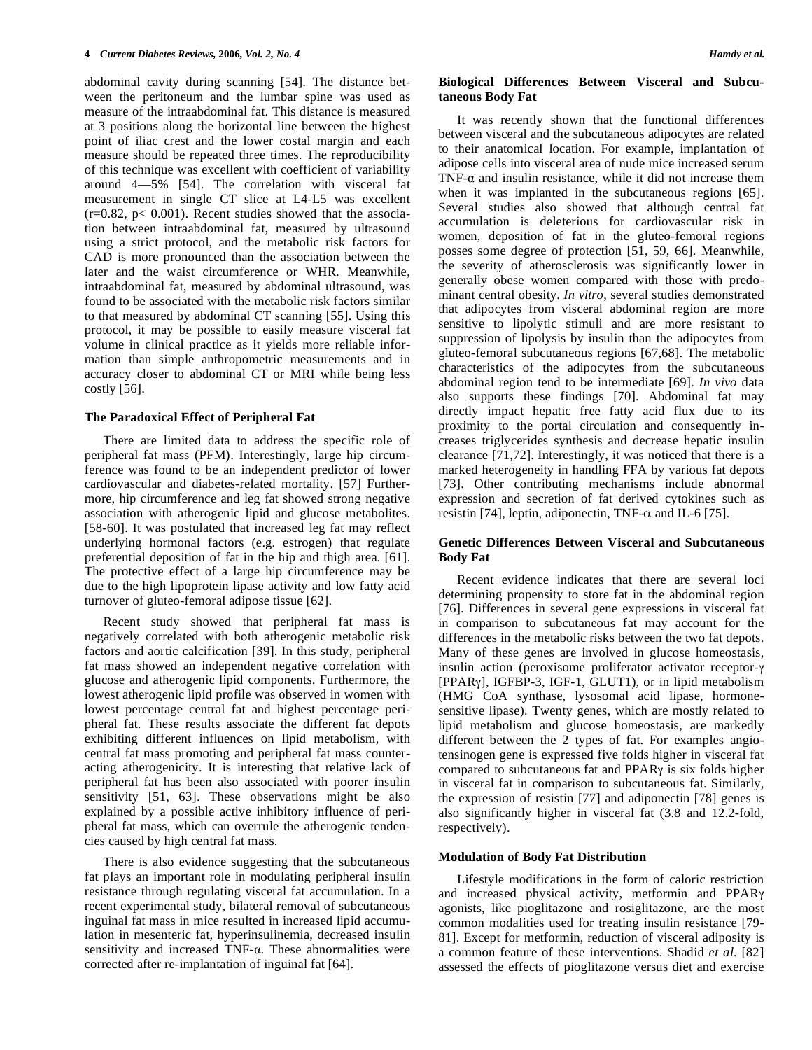abdominal cavity during scanning [54]. The distance between the peritoneum and the lumbar spine was used as measure of the intraabdominal fat. This distance is measured at 3 positions along the horizontal line between the highest point of iliac crest and the lower costal margin and each measure should be repeated three times. The reproducibility of this technique was excellent with coefficient of variability around 4—5% [54]. The correlation with visceral fat measurement in single CT slice at L4-L5 was excellent  $(r=0.82, p< 0.001)$ . Recent studies showed that the association between intraabdominal fat, measured by ultrasound using a strict protocol, and the metabolic risk factors for CAD is more pronounced than the association between the later and the waist circumference or WHR. Meanwhile, intraabdominal fat, measured by abdominal ultrasound, was found to be associated with the metabolic risk factors similar to that measured by abdominal CT scanning [55]. Using this protocol, it may be possible to easily measure visceral fat volume in clinical practice as it yields more reliable information than simple anthropometric measurements and in accuracy closer to abdominal CT or MRI while being less costly [56].

### **The Paradoxical Effect of Peripheral Fat**

There are limited data to address the specific role of peripheral fat mass (PFM). Interestingly, large hip circumference was found to be an independent predictor of lower cardiovascular and diabetes-related mortality. [57] Furthermore, hip circumference and leg fat showed strong negative association with atherogenic lipid and glucose metabolites. [58-60]. It was postulated that increased leg fat may reflect underlying hormonal factors (e.g. estrogen) that regulate preferential deposition of fat in the hip and thigh area. [61]. The protective effect of a large hip circumference may be due to the high lipoprotein lipase activity and low fatty acid turnover of gluteo-femoral adipose tissue [62].

Recent study showed that peripheral fat mass is negatively correlated with both atherogenic metabolic risk factors and aortic calcification [39]. In this study, peripheral fat mass showed an independent negative correlation with glucose and atherogenic lipid components. Furthermore, the lowest atherogenic lipid profile was observed in women with lowest percentage central fat and highest percentage peripheral fat. These results associate the different fat depots exhibiting different influences on lipid metabolism, with central fat mass promoting and peripheral fat mass counteracting atherogenicity. It is interesting that relative lack of peripheral fat has been also associated with poorer insulin sensitivity [51, 63]. These observations might be also explained by a possible active inhibitory influence of peripheral fat mass, which can overrule the atherogenic tendencies caused by high central fat mass.

There is also evidence suggesting that the subcutaneous fat plays an important role in modulating peripheral insulin resistance through regulating visceral fat accumulation. In a recent experimental study, bilateral removal of subcutaneous inguinal fat mass in mice resulted in increased lipid accumulation in mesenteric fat, hyperinsulinemia, decreased insulin sensitivity and increased  $TNF-\alpha$ . These abnormalities were corrected after re-implantation of inguinal fat [64].

## **Biological Differences Between Visceral and Subcutaneous Body Fat**

It was recently shown that the functional differences between visceral and the subcutaneous adipocytes are related to their anatomical location. For example, implantation of adipose cells into visceral area of nude mice increased serum TNF- $\alpha$  and insulin resistance, while it did not increase them when it was implanted in the subcutaneous regions [65]. Several studies also showed that although central fat accumulation is deleterious for cardiovascular risk in women, deposition of fat in the gluteo-femoral regions posses some degree of protection [51, 59, 66]. Meanwhile, the severity of atherosclerosis was significantly lower in generally obese women compared with those with predominant central obesity. *In vitro*, several studies demonstrated that adipocytes from visceral abdominal region are more sensitive to lipolytic stimuli and are more resistant to suppression of lipolysis by insulin than the adipocytes from gluteo-femoral subcutaneous regions [67,68]. The metabolic characteristics of the adipocytes from the subcutaneous abdominal region tend to be intermediate [69]. *In vivo* data also supports these findings [70]. Abdominal fat may directly impact hepatic free fatty acid flux due to its proximity to the portal circulation and consequently increases triglycerides synthesis and decrease hepatic insulin clearance [71,72]. Interestingly, it was noticed that there is a marked heterogeneity in handling FFA by various fat depots [73]. Other contributing mechanisms include abnormal expression and secretion of fat derived cytokines such as resistin [74], leptin, adiponectin, TNF- $\alpha$  and IL-6 [75].

# **Genetic Differences Between Visceral and Subcutaneous Body Fat**

Recent evidence indicates that there are several loci determining propensity to store fat in the abdominal region [76]. Differences in several gene expressions in visceral fat in comparison to subcutaneous fat may account for the differences in the metabolic risks between the two fat depots. Many of these genes are involved in glucose homeostasis, insulin action (peroxisome proliferator activator receptor- $\gamma$ [PPAR<sub>Y</sub>], IGFBP-3, IGF-1, GLUT1), or in lipid metabolism (HMG CoA synthase, lysosomal acid lipase, hormonesensitive lipase). Twenty genes, which are mostly related to lipid metabolism and glucose homeostasis, are markedly different between the 2 types of fat. For examples angiotensinogen gene is expressed five folds higher in visceral fat compared to subcutaneous fat and  $PPAR\gamma$  is six folds higher in visceral fat in comparison to subcutaneous fat. Similarly, the expression of resistin [77] and adiponectin [78] genes is also significantly higher in visceral fat (3.8 and 12.2-fold, respectively).

#### **Modulation of Body Fat Distribution**

Lifestyle modifications in the form of caloric restriction and increased physical activity, metformin and PPAR<sub>Y</sub> agonists, like pioglitazone and rosiglitazone, are the most common modalities used for treating insulin resistance [79- 81]. Except for metformin, reduction of visceral adiposity is a common feature of these interventions. Shadid *et al*. [82] assessed the effects of pioglitazone versus diet and exercise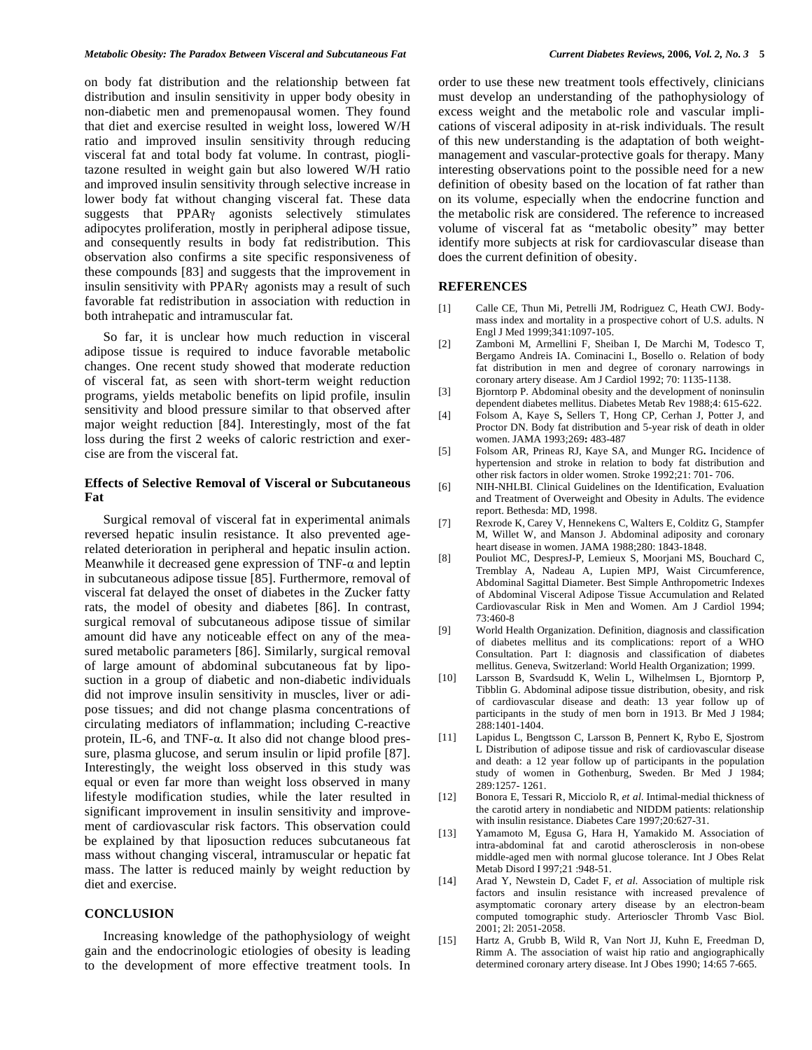on body fat distribution and the relationship between fat distribution and insulin sensitivity in upper body obesity in non-diabetic men and premenopausal women. They found that diet and exercise resulted in weight loss, lowered W/H ratio and improved insulin sensitivity through reducing visceral fat and total body fat volume. In contrast, pioglitazone resulted in weight gain but also lowered W/H ratio and improved insulin sensitivity through selective increase in lower body fat without changing visceral fat. These data suggests that  $PPAR\gamma$  agonists selectively stimulates adipocytes proliferation, mostly in peripheral adipose tissue, and consequently results in body fat redistribution. This observation also confirms a site specific responsiveness of these compounds [83] and suggests that the improvement in insulin sensitivity with PPAR $\gamma$  agonists may a result of such favorable fat redistribution in association with reduction in both intrahepatic and intramuscular fat.

So far, it is unclear how much reduction in visceral adipose tissue is required to induce favorable metabolic changes. One recent study showed that moderate reduction of visceral fat, as seen with short-term weight reduction programs, yields metabolic benefits on lipid profile, insulin sensitivity and blood pressure similar to that observed after major weight reduction [84]. Interestingly, most of the fat loss during the first 2 weeks of caloric restriction and exercise are from the visceral fat.

## **Effects of Selective Removal of Visceral or Subcutaneous Fat**

Surgical removal of visceral fat in experimental animals reversed hepatic insulin resistance. It also prevented agerelated deterioration in peripheral and hepatic insulin action. Meanwhile it decreased gene expression of  $TNF-\alpha$  and leptin in subcutaneous adipose tissue [85]. Furthermore, removal of visceral fat delayed the onset of diabetes in the Zucker fatty rats, the model of obesity and diabetes [86]. In contrast, surgical removal of subcutaneous adipose tissue of similar amount did have any noticeable effect on any of the measured metabolic parameters [86]. Similarly, surgical removal of large amount of abdominal subcutaneous fat by liposuction in a group of diabetic and non-diabetic individuals did not improve insulin sensitivity in muscles, liver or adipose tissues; and did not change plasma concentrations of circulating mediators of inflammation; including C-reactive protein, IL-6, and TNF- $\alpha$ . It also did not change blood pressure, plasma glucose, and serum insulin or lipid profile [87]. Interestingly, the weight loss observed in this study was equal or even far more than weight loss observed in many lifestyle modification studies, while the later resulted in significant improvement in insulin sensitivity and improvement of cardiovascular risk factors. This observation could be explained by that liposuction reduces subcutaneous fat mass without changing visceral, intramuscular or hepatic fat mass. The latter is reduced mainly by weight reduction by diet and exercise.

#### **CONCLUSION**

Increasing knowledge of the pathophysiology of weight gain and the endocrinologic etiologies of obesity is leading to the development of more effective treatment tools. In

order to use these new treatment tools effectively, clinicians must develop an understanding of the pathophysiology of excess weight and the metabolic role and vascular implications of visceral adiposity in at-risk individuals. The result of this new understanding is the adaptation of both weightmanagement and vascular-protective goals for therapy. Many interesting observations point to the possible need for a new definition of obesity based on the location of fat rather than on its volume, especially when the endocrine function and the metabolic risk are considered. The reference to increased volume of visceral fat as "metabolic obesity" may better identify more subjects at risk for cardiovascular disease than does the current definition of obesity.

#### **REFERENCES**

- [1] Calle CE, Thun Mi, Petrelli JM, Rodriguez C, Heath CWJ. Bodymass index and mortality in a prospective cohort of U.S. adults. N Engl J Med 1999;341:1097-105.
- [2] Zamboni M, Armellini F, Sheiban I, De Marchi M, Todesco T, Bergamo Andreis IA. Cominacini I., Bosello o. Relation of body fat distribution in men and degree of coronary narrowings in coronary artery disease. Am J Cardiol 1992; 70: 1135-1138.
- [3] Bjorntorp P. Abdominal obesity and the development of noninsulin dependent diabetes mellitus. Diabetes Metab Rev 1988;4: 615-622.
- [4] Folsom A, Kaye S**,** Sellers T, Hong CP, Cerhan J, Potter J, and Proctor DN. Body fat distribution and 5-year risk of death in older women. JAMA 1993;269**:** 483-487
- [5] Folsom AR, Prineas RJ, Kaye SA, and Munger RG**.** Incidence of hypertension and stroke in relation to body fat distribution and other risk factors in older women. Stroke 1992;21: 701- 706.
- [6] NIH-NHLBI. Clinical Guidelines on the Identification, Evaluation and Treatment of Overweight and Obesity in Adults. The evidence report. Bethesda: MD, 1998.
- [7] Rexrode K, Carey V, Hennekens C, Walters E, Colditz G, Stampfer M, Willet W, and Manson J. Abdominal adiposity and coronary heart disease in women. JAMA 1988;280: 1843-1848.
- [8] Pouliot MC, DespresJ-P, Lemieux S, Moorjani MS, Bouchard C, Tremblay A, Nadeau A, Lupien MPJ, Waist Circumference, Abdominal Sagittal Diameter. Best Simple Anthropometric Indexes of Abdominal Visceral Adipose Tissue Accumulation and Related Cardiovascular Risk in Men and Women. Am J Cardiol 1994; 73:460-8
- [9] World Health Organization. Definition, diagnosis and classification of diabetes mellitus and its complications: report of a WHO Consultation. Part I: diagnosis and classification of diabetes mellitus. Geneva, Switzerland: World Health Organization; 1999.
- [10] Larsson B, Svardsudd K, Welin L, Wilhelmsen L, Bjorntorp P, Tibblin G. Abdominal adipose tissue distribution, obesity, and risk of cardiovascular disease and death: 13 year follow up of participants in the study of men born in 1913. Br Med J 1984; 288:1401-1404.
- [11] Lapidus L, Bengtsson C, Larsson B, Pennert K, Rybo E, Sjostrom L Distribution of adipose tissue and risk of cardiovascular disease and death: a 12 year follow up of participants in the population study of women in Gothenburg, Sweden. Br Med J 1984; 289:1257- 1261.
- [12] Bonora E, Tessari R, Micciolo R, *et al*. Intimal-medial thickness of the carotid artery in nondiabetic and NIDDM patients: relationship with insulin resistance. Diabetes Care 1997;20:627-31.
- [13] Yamamoto M, Egusa G, Hara H, Yamakido M. Association of intra-abdominal fat and carotid atherosclerosis in non-obese middle-aged men with normal glucose tolerance. Int J Obes Relat Metab Disord I 997;21 :948-51.
- [14] Arad Y, Newstein D, Cadet F, *et al*. Association of multiple risk factors and insulin resistance with increased prevalence of asymptomatic coronary artery disease by an electron-beam computed tomographic study. Arterioscler Thromb Vasc Biol. 2001; 2l: 2051-2058.
- [15] Hartz A, Grubb B, Wild R, Van Nort JJ, Kuhn E, Freedman D, Rimm A. The association of waist hip ratio and angiographically determined coronary artery disease. Int J Obes 1990; 14:65 7-665.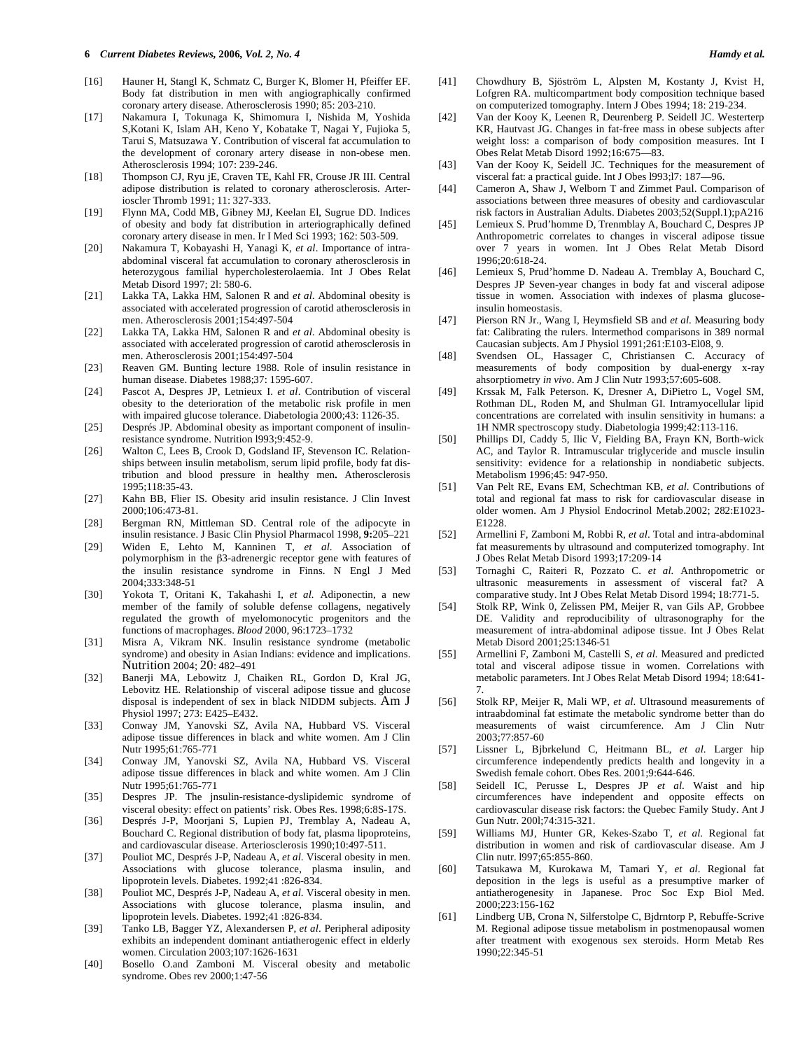- [16] Hauner H, Stangl K, Schmatz C, Burger K, Blomer H, Pfeiffer EF. Body fat distribution in men with angiographically confirmed coronary artery disease. Atherosclerosis 1990; 85: 203-210.
- [17] Nakamura I, Tokunaga K, Shimomura I, Nishida M, Yoshida S,Kotani K, Islam AH, Keno Y, Kobatake T, Nagai Y, Fujioka 5, Tarui S, Matsuzawa Y. Contribution of visceral fat accumulation to the development of coronary artery disease in non-obese men. Atherosclerosis 1994; 107: 239-246.
- [18] Thompson CJ, Ryu jE, Craven TE, Kahl FR, Crouse JR III. Central adipose distribution is related to coronary atherosclerosis. Arterioscler Thromb 1991; 11: 327-333.
- [19] Flynn MA, Codd MB, Gibney MJ, Keelan El, Sugrue DD. Indices of obesity and body fat distribution in arteriographically defined coronary artery disease in men. Ir I Med Sci 1993; 162: 503-509.
- [20] Nakamura T, Kobayashi H, Yanagi K, *et al*. Importance of intraabdominal visceral fat accumulation to coronary atherosclerosis in heterozygous familial hypercholesterolaemia. Int J Obes Relat Metab Disord 1997; 2l: 580-6.
- [21] Lakka TA, Lakka HM, Salonen R and *et al*. Abdominal obesity is associated with accelerated progression of carotid atherosclerosis in men. Atherosclerosis 2001;154:497-504
- [22] Lakka TA, Lakka HM, Salonen R and *et al*. Abdominal obesity is associated with accelerated progression of carotid atherosclerosis in men. Atherosclerosis 2001;154:497-504
- [23] Reaven GM. Bunting lecture 1988. Role of insulin resistance in human disease. Diabetes 1988;37: 1595-607.
- [24] Pascot A, Despres JP, Letnieux I. *et al*. Contribution of visceral obesity to the deterioration of the metabolic risk profile in men with impaired glucose tolerance. Diabetologia 2000;43: 1126-35.
- [25] Després JP. Abdominal obesity as important component of insulinresistance syndrome. Nutrition l993;9:452-9.
- [26] Walton C, Lees B, Crook D, Godsland IF, Stevenson IC. Relationships between insulin metabolism, serum lipid profile, body fat distribution and blood pressure in healthy men**.** Atherosclerosis 1995;118:35-43.
- [27] Kahn BB, Flier IS. Obesity arid insulin resistance. J Clin Invest 2000;106:473-81.
- [28] Bergman RN, Mittleman SD. Central role of the adipocyte in insulin resistance. J Basic Clin Physiol Pharmacol 1998, **9:**205–221
- [29] Widen E, Lehto M, Kanninen T, *et al*. Association of polymorphism in the  $\beta$ 3-adrenergic receptor gene with features of the insulin resistance syndrome in Finns. N Engl J Med 2004;333:348-51
- [30] Yokota T, Oritani K, Takahashi I, *et al.* Adiponectin, a new member of the family of soluble defense collagens, negatively regulated the growth of myelomonocytic progenitors and the functions of macrophages. *Blood* 2000, 96:1723–1732
- [31] Misra A, Vikram NK. Insulin resistance syndrome (metabolic syndrome) and obesity in Asian Indians: evidence and implications. Nutrition 2004; 20: 482–491
- [32] Banerji MA, Lebowitz J, Chaiken RL, Gordon D, Kral JG, Lebovitz HE. Relationship of visceral adipose tissue and glucose disposal is independent of sex in black NIDDM subjects. Am J Physiol 1997; 273: E425–E432.
- [33] Conway JM, Yanovski SZ, Avila NA, Hubbard VS. Visceral adipose tissue differences in black and white women. Am J Clin Nutr 1995;61:765-771
- [34] Conway JM, Yanovski SZ, Avila NA, Hubbard VS. Visceral adipose tissue differences in black and white women. Am J Clin Nutr 1995;61:765-771
- [35] Despres JP. The jnsulin-resistance-dyslipidemic syndrome of visceral obesity: effect on patients' risk. Obes Res. 1998;6:8S-17S.
- [36] Després J-P, Moorjani S, Lupien PJ, Tremblay A, Nadeau A, Bouchard C. Regional distribution of body fat, plasma lipoproteins, and cardiovascular disease. Arteriosclerosis 1990;10:497-511.
- [37] Pouliot MC, Després J-P, Nadeau A, *et al*. Visceral obesity in men. Associations with glucose tolerance, plasma insulin, and lipoprotein levels. Diabetes. 1992;41 :826-834.
- [38] Pouliot MC, Després J-P, Nadeau A, *et al*. Visceral obesity in men. Associations with glucose tolerance, plasma insulin, and lipoprotein levels. Diabetes. 1992;41 :826-834.
- [39] Tanko LB, Bagger YZ, Alexandersen P, *et al*. Peripheral adiposity exhibits an independent dominant antiatherogenic effect in elderly women. Circulation 2003;107:1626-1631
- [40] Bosello O.and Zamboni M. Visceral obesity and metabolic syndrome. Obes rev 2000;1:47-56
- [41] Chowdhury B, Sjöström L, Alpsten M, Kostanty J, Kvist H, Lofgren RA. multicompartment body composition technique based on computerized tomography. Intern J Obes 1994; 18: 219-234.
- [42] Van der Kooy K, Leenen R, Deurenberg P. Seidell JC. Westerterp KR, Hautvast JG. Changes in fat-free mass in obese subjects after weight loss: a comparison of body composition measures. Int I Obes Relat Metab Disord 1992;16:675—83.
- [43] Van der Kooy K, Seidell JC. Techniques for the measurement of visceral fat: a practical guide. Int J Obes l993;l7: 187—96.
- [44] Cameron A, Shaw J, Welborn T and Zimmet Paul. Comparison of associations between three measures of obesity and cardiovascular risk factors in Australian Adults. Diabetes 2003;52(Suppl.1);pA216
- [45] Lemieux S. Prud'homme D, Trenmblay A, Bouchard C, Despres JP Anthropometric correlates to changes in visceral adipose tissue over 7 years in women. Int J Obes Relat Metab Disord  $1996.20.618-24$
- [46] Lemieux S, Prud'homme D. Nadeau A. Tremblay A, Bouchard C, Despres JP Seven-year changes in body fat and visceral adipose tissue in women. Association with indexes of plasma glucoseinsulin homeostasis.
- [47] Pierson RN Jr., Wang I, Heymsfield SB and *et al*. Measuring body fat: Calibrating the rulers. lntermethod comparisons in 389 normal Caucasian subjects. Am J Physiol 1991;261:E103-El08, 9.
- [48] Svendsen OL, Hassager C, Christiansen C. Accuracy of measurements of body composition by dual-energy x-ray ahsorptiometry *in vivo*. Am J Clin Nutr 1993;57:605-608.
- [49] Krssak M, Falk Peterson. K, Dresner A, DiPietro L, Vogel SM, Rothman DL, Roden M, and Shulman GI. Intramyocellular lipid concentrations are correlated with insulin sensitivity in humans: a 1H NMR spectroscopy study. Diabetologia 1999;42:113-116.
- [50] Phillips DI, Caddy 5, Ilic V, Fielding BA, Frayn KN, Borth-wick AC, and Taylor R. Intramuscular triglyceride and muscle insulin sensitivity: evidence for a relationship in nondiabetic subjects. Metabolism 1996;45: 947-950.
- [51] Van Pelt RE, Evans EM, Schechtman KB, *et al*. Contributions of total and regional fat mass to risk for cardiovascular disease in older women. Am J Physiol Endocrinol Metab.2002; 282:E1023- E1228.
- [52] Armellini F, Zamboni M, Robbi R, *et al*. Total and intra-abdominal fat measurements by ultrasound and computerized tomography. Int J Obes Relat Metab Disord 1993;17:209-14
- [53] Tornaghi C, Raiteri R, Pozzato C. *et al*. Anthropometric or ultrasonic measurements in assessment of visceral fat? A comparative study. Int J Obes Relat Metab Disord 1994; 18:771-5.
- [54] Stolk RP, Wink 0, Zelissen PM, Meijer R, van Gils AP, Grobbee DE. Validity and reproducibility of ultrasonography for the measurement of intra-abdominal adipose tissue. Int J Obes Relat Metab Disord 2001;25:1346-51
- [55] Armellini F, Zamboni M, Castelli S, *et al*. Measured and predicted total and visceral adipose tissue in women. Correlations with metabolic parameters. Int J Obes Relat Metab Disord 1994; 18:641- 7.
- [56] Stolk RP, Meijer R, Mali WP, *et al*. Ultrasound measurements of intraabdominal fat estimate the metabolic syndrome better than do measurements of waist circumference. Am J Clin Nutr 2003;77:857-60
- [57] Lissner L, Bjbrkelund C, Heitmann BL, *et al*. Larger hip circumference independently predicts health and longevity in a Swedish female cohort. Obes Res. 2001;9:644-646.
- [58] Seidell IC, Perusse L, Despres JP *et al*. Waist and hip circumferences have independent and opposite effects on cardiovascular disease risk factors: the Quebec Family Study. Ant J Gun Nutr. 200l;74:315-321.
- [59] Williams MJ, Hunter GR, Kekes-Szabo T, *et al*. Regional fat distribution in women and risk of cardiovascular disease. Am J Clin nutr. l997;65:855-860.
- [60] Tatsukawa M, Kurokawa M, Tamari Y, *et al*. Regional fat deposition in the legs is useful as a presumptive marker of antiatherogenesity in Japanese. Proc Soc Exp Biol Med. 2000;223:156-162
- [61] Lindberg UB, Crona N, Silferstolpe C, Bjdrntorp P, Rebuffe-Scrive M. Regional adipose tissue metabolism in postmenopausal women after treatment with exogenous sex steroids. Horm Metab Res 1990;22:345-51